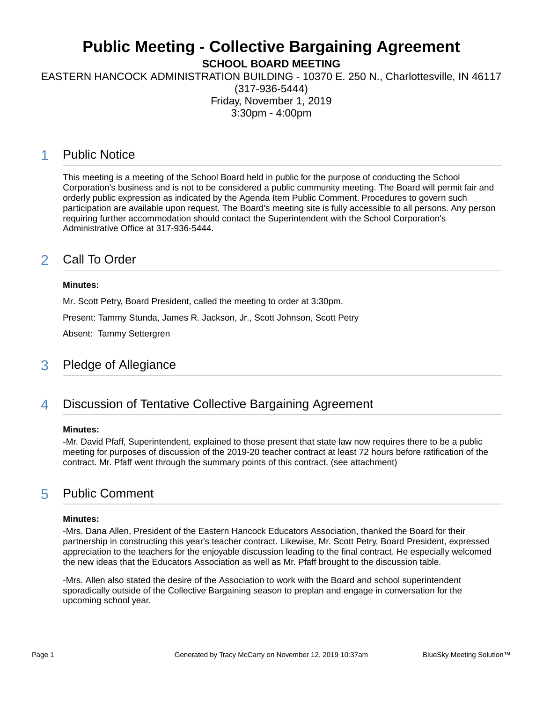# **Public Meeting - Collective Bargaining Agreement**

**SCHOOL BOARD MEETING**

EASTERN HANCOCK ADMINISTRATION BUILDING - 10370 E. 250 N., Charlottesville, IN 46117

(317-936-5444) Friday, November 1, 2019 3:30pm - 4:00pm

### 1 Public Notice

This meeting is a meeting of the School Board held in public for the purpose of conducting the School Corporation's business and is not to be considered a public community meeting. The Board will permit fair and orderly public expression as indicated by the Agenda Item Public Comment. Procedures to govern such participation are available upon request. The Board's meeting site is fully accessible to all persons. Any person requiring further accommodation should contact the Superintendent with the School Corporation's Administrative Office at 317-936-5444.

### 2 Call To Order

#### **Minutes:**

Mr. Scott Petry, Board President, called the meeting to order at 3:30pm. Present: Tammy Stunda, James R. Jackson, Jr., Scott Johnson, Scott Petry Absent: Tammy Settergren

#### 3 Pledge of Allegiance

### 4 Discussion of Tentative Collective Bargaining Agreement

#### **Minutes:**

-Mr. David Pfaff, Superintendent, explained to those present that state law now requires there to be a public meeting for purposes of discussion of the 2019-20 teacher contract at least 72 hours before ratification of the contract. Mr. Pfaff went through the summary points of this contract. (see attachment)

### 5 Public Comment

#### **Minutes:**

-Mrs. Dana Allen, President of the Eastern Hancock Educators Association, thanked the Board for their partnership in constructing this year's teacher contract. Likewise, Mr. Scott Petry, Board President, expressed appreciation to the teachers for the enjoyable discussion leading to the final contract. He especially welcomed the new ideas that the Educators Association as well as Mr. Pfaff brought to the discussion table.

-Mrs. Allen also stated the desire of the Association to work with the Board and school superintendent sporadically outside of the Collective Bargaining season to preplan and engage in conversation for the upcoming school year.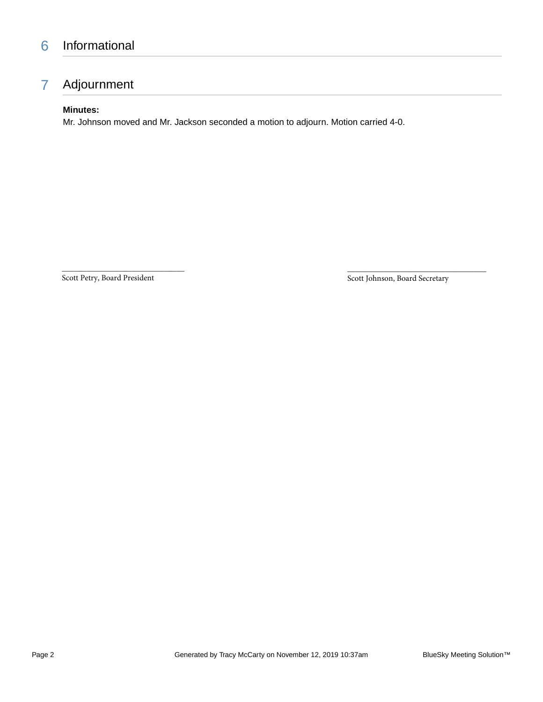## 6 Informational

## 7 Adjournment

#### **Minutes:**

Mr. Johnson moved and Mr. Jackson seconded a motion to adjourn. Motion carried 4-0.

Scott Petry, Board President

\_\_\_\_\_\_\_\_\_\_\_\_\_\_\_\_\_\_\_\_\_\_\_\_\_\_\_\_\_\_

Scott Johnson, Board Secretary

\_\_\_\_\_\_\_\_\_\_\_\_\_\_\_\_\_\_\_\_\_\_\_\_\_\_\_\_\_\_\_\_\_\_